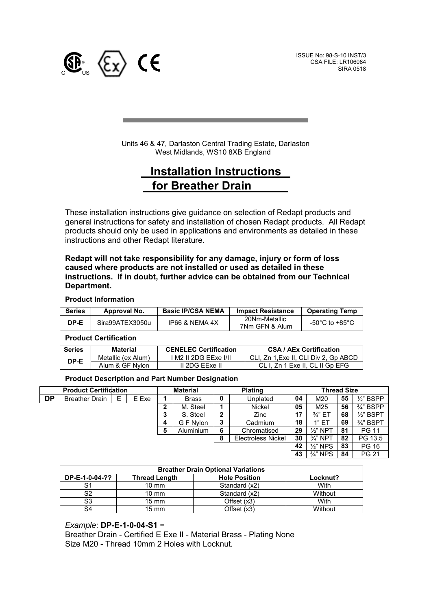

l,

ISSUE No: 98-S-10 INST/3 CSA FILE: LR106084 SIRA 0518

Units 46 & 47, Darlaston Central Trading Estate, Darlaston West Midlands, WS10 8XB England

# **Installation Instructions for Breather Drain**

These installation instructions give guidance on selection of Redapt products and general instructions for safety and installation of chosen Redapt products. All Redapt products should only be used in applications and environments as detailed in these instructions and other Redapt literature.

### **Redapt will not take responsibility for any damage, injury or form of loss caused where products are not installed or used as detailed in these instructions. If in doubt, further advice can be obtained from our Technical Department.**

### **Product Information**

| <b>Series</b> | Approval No.    | <b>Basic IP/CSA NEMA</b> | <b>Impact Resistance</b>        | <b>Operating Temp</b> |
|---------------|-----------------|--------------------------|---------------------------------|-----------------------|
| DP-E          | Sira99ATEX3050u | IP66 & NEMA 4X           | 20Nm-Metallic<br>7Nm GFN & Alum | -50°C to +85°C.       |

#### **Product Certification**

| <b>Series</b> | <b>Material</b>    | <b>CENELEC Certification</b> | <b>CSA / AEx Certification</b>       |
|---------------|--------------------|------------------------------|--------------------------------------|
| DP-E          | Metallic (ex Alum) | M2 II 2DG EExe I/II          | CLI. Zn 1.Exe II. CLI Div 2. Gp ABCD |
|               | Alum & GF Nylon    | II 2DG EExe II               | CL I. Zn 1 Exe II. CL II Gp EFG      |

#### **Product Description and Part Number Designation**

| <b>Product Certifidation</b> |                    |  | <b>Material</b> |   | <b>Plating</b>   |   | <b>Thread Size</b>        |    |                     |    |                      |
|------------------------------|--------------------|--|-----------------|---|------------------|---|---------------------------|----|---------------------|----|----------------------|
| DP                           | Breather Drain   E |  | E Exe           |   | <b>Brass</b>     | 0 | Unplated                  | 04 | M20                 | 55 | $\frac{1}{2}$ " BSPP |
|                              |                    |  |                 | າ | M. Steel         |   | Nickel                    | 05 | M25                 | 56 | $\frac{3}{4}$ " BSPP |
|                              |                    |  |                 | 3 | S. Steel         | 2 | Zinc                      | 17 | $\frac{3}{4}$ " ET  | 68 | $\frac{1}{2}$ " BSPT |
|                              |                    |  |                 |   | G F Nylon        | 3 | Cadmium                   | 18 | 1"E1                | 69 | $\frac{3}{4}$ " BSPT |
|                              |                    |  |                 | 5 | <b>Aluminium</b> | 6 | Chromatised               | 29 | $\frac{1}{2}$ " NPT | 81 | <b>PG 11</b>         |
|                              |                    |  |                 |   |                  | 8 | <b>Electroless Nickel</b> | 30 | $\frac{3}{4}$ " NPT | 82 | PG 13.5              |
|                              |                    |  |                 |   |                  |   |                           | 42 | $\frac{1}{2}$ " NPS | 83 | <b>PG 16</b>         |
|                              |                    |  |                 |   |                  |   |                           | 43 | $\frac{3}{4}$ " NPS | 84 | <b>PG 21</b>         |
|                              |                    |  |                 |   |                  |   |                           |    |                     |    |                      |

| <b>Breather Drain Optional Variations</b> |                      |                      |          |  |
|-------------------------------------------|----------------------|----------------------|----------|--|
| DP-E-1-0-04-??                            | <b>Thread Length</b> | <b>Hole Position</b> | Locknut? |  |
| S1                                        | $10 \text{ mm}$      | Standard (x2)        | With     |  |
| S2                                        | $10 \text{ mm}$      | Standard (x2)        | Without  |  |
| S3                                        | $15 \text{ mm}$      | Offset (x3)          | With     |  |
| S4                                        | $15 \text{ mm}$      | Offset (x3)          | Without  |  |

### *Example*: **DP-E-1-0-04-S1** =

Breather Drain - Certified E Exe II - Material Brass - Plating None Size M20 - Thread 10mm 2 Holes with Locknut*.*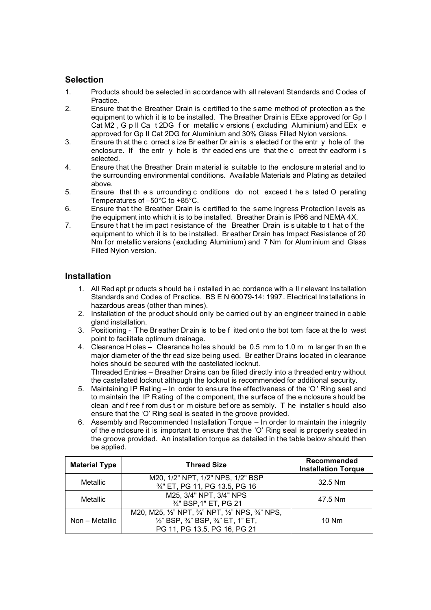# **Selection**

- 1. Products should be selected in accordance with all relevant Standards and Codes of Practice.
- 2. Ensure that the Breather Drain is certified to the same method of protection as the equipment to which it is to be installed. The Breather Drain is EExe approved for Gp I Cat M2, G p II Ca t 2DG f or metallic v ersions (excluding Aluminium) and EEx e approved for Gp II Cat 2DG for Aluminium and 30% Glass Filled Nylon versions.
- 3. Ensure th at the c orrect s ize Br eather Dr ain is s elected f or the entr y hole of the enclosure. If the entr y hole is thr eaded ens ure that the c orrect thr eadform i s selected.
- 4. Ensure that the Breather Drain m aterial is suitable to the enclosure m aterial and to the surrounding environmental conditions. Available Materials and Plating as detailed above.
- 5. Ensure that th e s urrounding c onditions do not exceed t he s tated O perating Temperatures of –50°C to +85°C.
- 6. Ensure that the Breather Drain is certified to the same Ingress Protection levels as the equipment into which it is to be installed. Breather Drain is IP66 and NEMA 4X.
- 7. Ensure t hat t he im pact r esistance of the Breather Drain is s uitable to t hat o f the equipment to which it is to be installed. Br eather Drain has Impact Resistance of 20 Nm for metallic versions (excluding Aluminium) and 7 Nm for Alum inium and Glass Filled Nylon version.

# **Installation**

- 1. All Red apt pr oducts s hould be i nstalled in ac cordance with a ll r elevant Ins tallation Standards and Codes of Practice. BS E N 60079-14: 1997. Electrical Installations in hazardous areas (other than mines).
- 2. Installation of the pr oduct should only be carried out by an engineer trained in c able gland installation.
- 3. Positioning T he Br eather Dr ain is to be f itted ont o the bot tom face at the lo west point to facilitate optimum drainage.
- 4. Clearance H oles Clearance ho les s hould be 0.5 mm to 1.0 m m lar ger th an th e major diameter of the thr ead size being used. Br eather Drains located in clearance holes should be secured with the castellated locknut. Threaded Entries – Breather Drains can be fitted directly into a threaded entry without the castellated locknut although the locknut is recommended for additional security.
- 5. Maintaining IP Rating In order to ens ure the effectiveness of the 'O ' Ring seal and to maintain the IP Rating of the c omponent, the surface of the e nclosure should be clean and f ree f rom dus t or m oisture bef ore as sembly. T he installer s hould also ensure that the 'O' Ring seal is seated in the groove provided.
- 6. Assembly and Recommended Installation Torque In order to maintain the integrity of the e nclosure it is important to ensure that the 'O' Ring seal is properly seated in the groove provided. An installation torque as detailed in the table below should then be applied.

| <b>Material Type</b> | <b>Thread Size</b>                                                                                                                                        | <b>Recommended</b><br><b>Installation Torque</b> |  |
|----------------------|-----------------------------------------------------------------------------------------------------------------------------------------------------------|--------------------------------------------------|--|
| Metallic             | M20, 1/2" NPT, 1/2" NPS, 1/2" BSP<br>3/4" ET, PG 11, PG 13.5, PG 16                                                                                       | 32.5 Nm                                          |  |
| Metallic             | M25, 3/4" NPT, 3/4" NPS<br>3/4" BSP, 1" ET, PG 21                                                                                                         | 47.5 Nm                                          |  |
| Non - Metallic       | M20, M25, 1/2" NPT, 3/4" NPT, 1/2" NPS, 3/4" NPS,<br>$\frac{1}{2}$ " BSP, $\frac{3}{4}$ " BSP, $\frac{3}{4}$ " ET, 1" ET,<br>PG 11, PG 13.5, PG 16, PG 21 | $10$ Nm                                          |  |